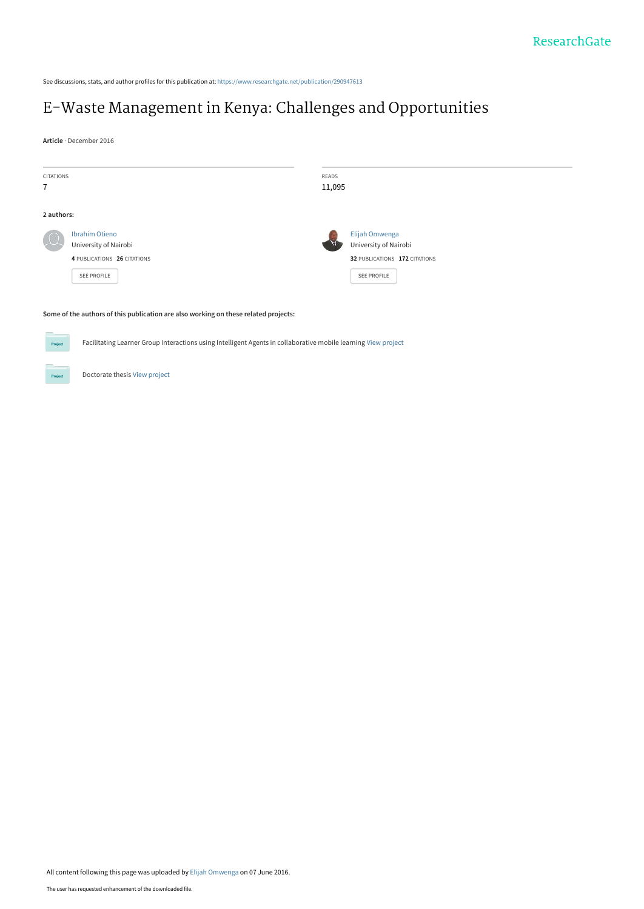See discussions, stats, and author profiles for this publication at: [https://www.researchgate.net/publication/290947613](https://www.researchgate.net/publication/290947613_E-Waste_Management_in_Kenya_Challenges_and_Opportunities?enrichId=rgreq-3840707a16a62388133c75d76dc90478-XXX&enrichSource=Y292ZXJQYWdlOzI5MDk0NzYxMztBUzozNzAzNTgwMzgzNTE4ODRAMTQ2NTMxMTY0NTgzMQ%3D%3D&el=1_x_2&_esc=publicationCoverPdf)

# [E-Waste Management in Kenya: Challenges and Opportunities](https://www.researchgate.net/publication/290947613_E-Waste_Management_in_Kenya_Challenges_and_Opportunities?enrichId=rgreq-3840707a16a62388133c75d76dc90478-XXX&enrichSource=Y292ZXJQYWdlOzI5MDk0NzYxMztBUzozNzAzNTgwMzgzNTE4ODRAMTQ2NTMxMTY0NTgzMQ%3D%3D&el=1_x_3&_esc=publicationCoverPdf)

**Article** · December 2016

| <b>CITATIONS</b><br>$\overline{1}$                                                  |                                                                                                                | READS<br>11,095 |                                                                                         |  |  |  |
|-------------------------------------------------------------------------------------|----------------------------------------------------------------------------------------------------------------|-----------------|-----------------------------------------------------------------------------------------|--|--|--|
| 2 authors:                                                                          |                                                                                                                |                 |                                                                                         |  |  |  |
|                                                                                     | <b>Ibrahim Otieno</b><br>University of Nairobi<br>4 PUBLICATIONS 26 CITATIONS<br>SEE PROFILE                   |                 | Elijah Omwenga<br>University of Nairobi<br>32 PUBLICATIONS 172 CITATIONS<br>SEE PROFILE |  |  |  |
| Some of the authors of this publication are also working on these related projects: |                                                                                                                |                 |                                                                                         |  |  |  |
| Project                                                                             | Facilitating Learner Group Interactions using Intelligent Agents in collaborative mobile learning View project |                 |                                                                                         |  |  |  |

Doctorate thesis [View project](https://www.researchgate.net/project/Doctorate-thesis-4?enrichId=rgreq-3840707a16a62388133c75d76dc90478-XXX&enrichSource=Y292ZXJQYWdlOzI5MDk0NzYxMztBUzozNzAzNTgwMzgzNTE4ODRAMTQ2NTMxMTY0NTgzMQ%3D%3D&el=1_x_9&_esc=publicationCoverPdf)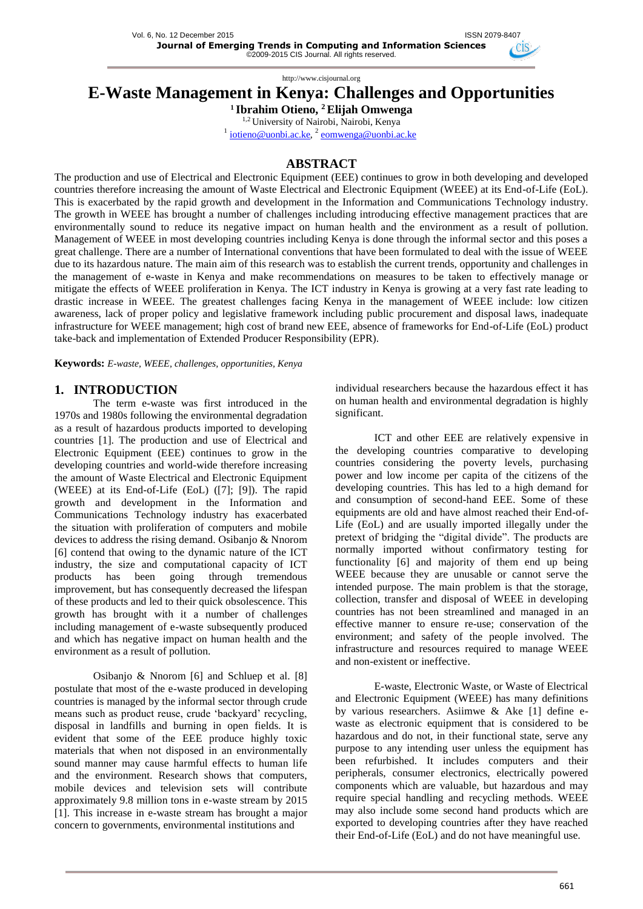## **E-Waste Management in Kenya: Challenges and Opportunities**

**<sup>1</sup>Ibrahim Otieno, <sup>2</sup>Elijah Omwenga** 1,2 University of Nairobi, Nairobi, Kenya

<sup>1</sup> iotieno@uonbi.ac.ke, <sup>2</sup> eomwenga@uonbi.ac.ke

### **ABSTRACT**

The production and use of Electrical and Electronic Equipment (EEE) continues to grow in both developing and developed countries therefore increasing the amount of Waste Electrical and Electronic Equipment (WEEE) at its End-of-Life (EoL). This is exacerbated by the rapid growth and development in the Information and Communications Technology industry. The growth in WEEE has brought a number of challenges including introducing effective management practices that are environmentally sound to reduce its negative impact on human health and the environment as a result of pollution. Management of WEEE in most developing countries including Kenya is done through the informal sector and this poses a great challenge. There are a number of International conventions that have been formulated to deal with the issue of WEEE due to its hazardous nature. The main aim of this research was to establish the current trends, opportunity and challenges in the management of e-waste in Kenya and make recommendations on measures to be taken to effectively manage or mitigate the effects of WEEE proliferation in Kenya. The ICT industry in Kenya is growing at a very fast rate leading to drastic increase in WEEE. The greatest challenges facing Kenya in the management of WEEE include: low citizen awareness, lack of proper policy and legislative framework including public procurement and disposal laws, inadequate infrastructure for WEEE management; high cost of brand new EEE, absence of frameworks for End-of-Life (EoL) product take-back and implementation of Extended Producer Responsibility (EPR).

**Keywords:** *E-waste, WEEE, challenges, opportunities, Kenya*

## **1. INTRODUCTION**

The term e-waste was first introduced in the 1970s and 1980s following the environmental degradation as a result of hazardous products imported to developing countries [1]. The production and use of Electrical and Electronic Equipment (EEE) continues to grow in the developing countries and world-wide therefore increasing the amount of Waste Electrical and Electronic Equipment (WEEE) at its End-of-Life (EoL) ([7]; [9]). The rapid growth and development in the Information and Communications Technology industry has exacerbated the situation with proliferation of computers and mobile devices to address the rising demand. Osibanjo & Nnorom [6] contend that owing to the dynamic nature of the ICT industry, the size and computational capacity of ICT products has been going through tremendous improvement, but has consequently decreased the lifespan of these products and led to their quick obsolescence. This growth has brought with it a number of challenges including management of e-waste subsequently produced and which has negative impact on human health and the environment as a result of pollution.

Osibanjo & Nnorom [6] and Schluep et al. [8] postulate that most of the e-waste produced in developing countries is managed by the informal sector through crude means such as product reuse, crude 'backyard' recycling, disposal in landfills and burning in open fields. It is evident that some of the EEE produce highly toxic materials that when not disposed in an environmentally sound manner may cause harmful effects to human life and the environment. Research shows that computers, mobile devices and television sets will contribute approximately 9.8 million tons in e-waste stream by 2015 [1]. This increase in e-waste stream has brought a major concern to governments, environmental institutions and

individual researchers because the hazardous effect it has on human health and environmental degradation is highly significant.

ICT and other EEE are relatively expensive in the developing countries comparative to developing countries considering the poverty levels, purchasing power and low income per capita of the citizens of the developing countries. This has led to a high demand for and consumption of second-hand EEE. Some of these equipments are old and have almost reached their End-of-Life (EoL) and are usually imported illegally under the pretext of bridging the "digital divide". The products are normally imported without confirmatory testing for functionality [6] and majority of them end up being WEEE because they are unusable or cannot serve the intended purpose. The main problem is that the storage, collection, transfer and disposal of WEEE in developing countries has not been streamlined and managed in an effective manner to ensure re-use; conservation of the environment; and safety of the people involved. The infrastructure and resources required to manage WEEE and non-existent or ineffective.

E-waste, Electronic Waste, or Waste of Electrical and Electronic Equipment (WEEE) has many definitions by various researchers. Asiimwe & Ake [1] define ewaste as electronic equipment that is considered to be hazardous and do not, in their functional state, serve any purpose to any intending user unless the equipment has been refurbished. It includes computers and their peripherals, consumer electronics, electrically powered components which are valuable, but hazardous and may require special handling and recycling methods. WEEE may also include some second hand products which are exported to developing countries after they have reached their End-of-Life (EoL) and do not have meaningful use.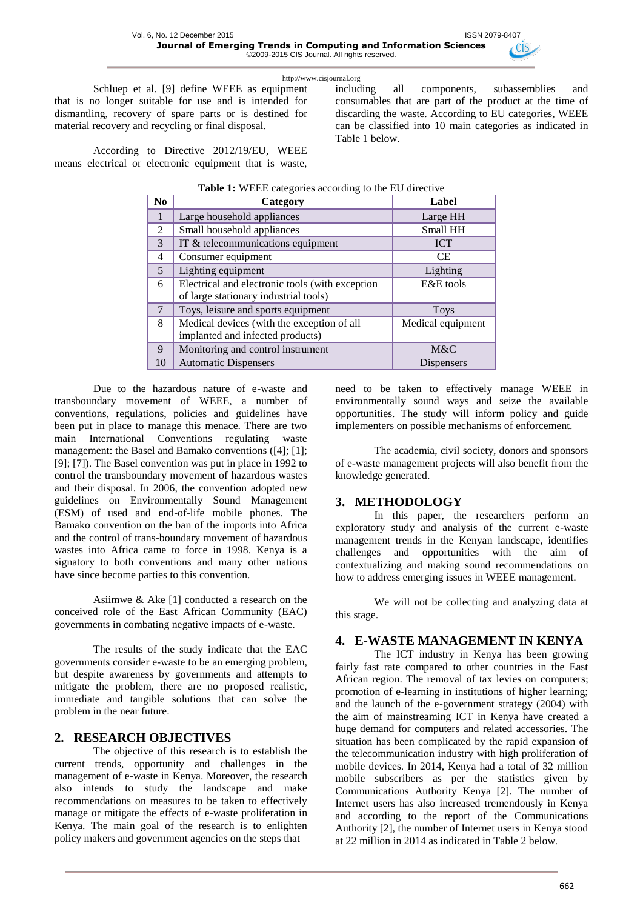Schluep et al. [9] define WEEE as equipment that is no longer suitable for use and is intended for dismantling, recovery of spare parts or is destined for material recovery and recycling or final disposal.

including all components, subassemblies and consumables that are part of the product at the time of discarding the waste. According to EU categories, WEEE can be classified into 10 main categories as indicated in Table 1 below.

According to Directive 2012/19/EU, WEEE means electrical or electronic equipment that is waste,

| Table 1: WEEE categories according to the EU directive |                                                 |                   |  |  |  |  |  |  |
|--------------------------------------------------------|-------------------------------------------------|-------------------|--|--|--|--|--|--|
| N <sub>0</sub>                                         | Category                                        | Label             |  |  |  |  |  |  |
|                                                        | Large household appliances                      | Large HH          |  |  |  |  |  |  |
| $\mathfrak{D}$                                         | Small household appliances                      | Small HH          |  |  |  |  |  |  |
| $\mathcal{E}$                                          | IT & telecommunications equipment               | <b>ICT</b>        |  |  |  |  |  |  |
| 4                                                      | Consumer equipment                              | <b>CE</b>         |  |  |  |  |  |  |
| $\overline{5}$                                         | Lighting equipment                              | Lighting          |  |  |  |  |  |  |
| 6                                                      | Electrical and electronic tools (with exception | E&E tools         |  |  |  |  |  |  |
|                                                        | of large stationary industrial tools)           |                   |  |  |  |  |  |  |
| $\tau$                                                 | Toys, leisure and sports equipment              | <b>Toys</b>       |  |  |  |  |  |  |
| 8                                                      | Medical devices (with the exception of all      | Medical equipment |  |  |  |  |  |  |
|                                                        | implanted and infected products)                |                   |  |  |  |  |  |  |
| 9                                                      | Monitoring and control instrument               | M&C               |  |  |  |  |  |  |
| 10                                                     | <b>Automatic Dispensers</b>                     | Dispensers        |  |  |  |  |  |  |

Due to the hazardous nature of e-waste and transboundary movement of WEEE, a number of conventions, regulations, policies and guidelines have been put in place to manage this menace. There are two main International Conventions regulating waste management: the Basel and Bamako conventions ([4]; [1]; [9]; [7]). The Basel convention was put in place in 1992 to control the transboundary movement of hazardous wastes and their disposal. In 2006, the convention adopted new guidelines on Environmentally Sound Management (ESM) of used and end-of-life mobile phones. The Bamako convention on the ban of the imports into Africa and the control of trans-boundary movement of hazardous wastes into Africa came to force in 1998. Kenya is a signatory to both conventions and many other nations have since become parties to this convention.

Asiimwe & Ake [1] conducted a research on the conceived role of the East African Community (EAC) governments in combating negative impacts of e-waste.

The results of the study indicate that the EAC governments consider e-waste to be an emerging problem, but despite awareness by governments and attempts to mitigate the problem, there are no proposed realistic, immediate and tangible solutions that can solve the problem in the near future.

### **2. RESEARCH OBJECTIVES**

The objective of this research is to establish the current trends, opportunity and challenges in the management of e-waste in Kenya. Moreover, the research also intends to study the landscape and make recommendations on measures to be taken to effectively manage or mitigate the effects of e-waste proliferation in Kenya. The main goal of the research is to enlighten policy makers and government agencies on the steps that

need to be taken to effectively manage WEEE in environmentally sound ways and seize the available opportunities. The study will inform policy and guide implementers on possible mechanisms of enforcement.

The academia, civil society, donors and sponsors of e-waste management projects will also benefit from the knowledge generated.

### **3. METHODOLOGY**

In this paper, the researchers perform an exploratory study and analysis of the current e-waste management trends in the Kenyan landscape, identifies challenges and opportunities with the aim of contextualizing and making sound recommendations on how to address emerging issues in WEEE management.

We will not be collecting and analyzing data at this stage.

### **4. E-WASTE MANAGEMENT IN KENYA**

The ICT industry in Kenya has been growing fairly fast rate compared to other countries in the East African region. The removal of tax levies on computers; promotion of e-learning in institutions of higher learning; and the launch of the e-government strategy (2004) with the aim of mainstreaming ICT in Kenya have created a huge demand for computers and related accessories. The situation has been complicated by the rapid expansion of the telecommunication industry with high proliferation of mobile devices. In 2014, Kenya had a total of 32 million mobile subscribers as per the statistics given by Communications Authority Kenya [2]. The number of Internet users has also increased tremendously in Kenya and according to the report of the Communications Authority [2], the number of Internet users in Kenya stood at 22 million in 2014 as indicated in Table 2 below.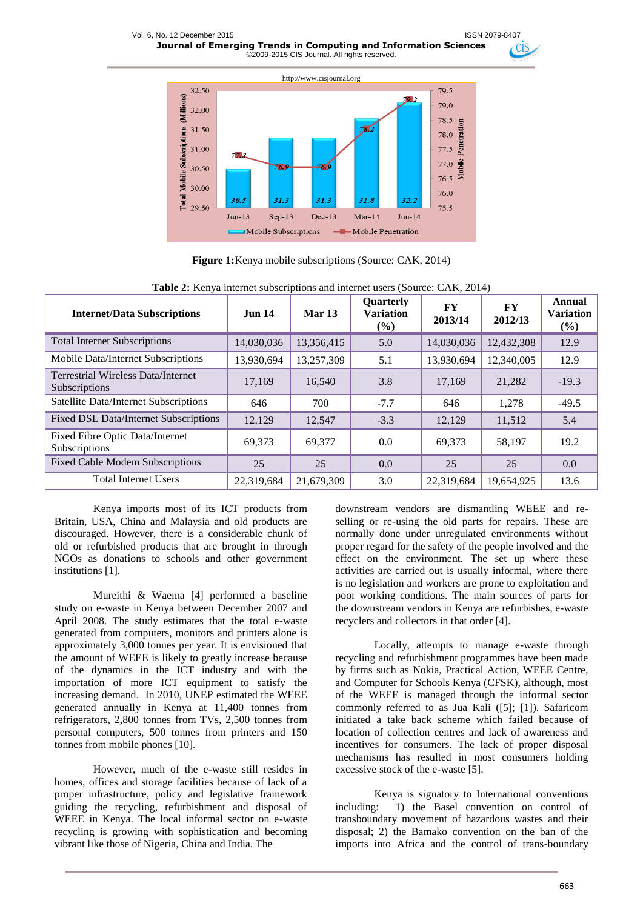

**Figure 1:**Kenya mobile subscriptions (Source: CAK, 2014)

| <b>Internet/Data Subscriptions</b>                         | <b>Jun 14</b> | Mar 13     | Quarterly<br><b>Variation</b><br>(%) | FY<br>2013/14 | FY<br>2012/13 | Annual<br><b>Variation</b><br>(%) |
|------------------------------------------------------------|---------------|------------|--------------------------------------|---------------|---------------|-----------------------------------|
| <b>Total Internet Subscriptions</b>                        | 14,030,036    | 13,356,415 | 5.0                                  | 14,030,036    | 12,432,308    | 12.9                              |
| Mobile Data/Internet Subscriptions                         | 13,930,694    | 13,257,309 | 5.1                                  | 13,930,694    | 12,340,005    | 12.9                              |
| <b>Terrestrial Wireless Data/Internet</b><br>Subscriptions | 17.169        | 16.540     | 3.8                                  | 17.169        | 21,282        | $-19.3$                           |
| Satellite Data/Internet Subscriptions                      | 646           | 700        | $-7.7$                               | 646           | 1,278         | $-49.5$                           |
| Fixed DSL Data/Internet Subscriptions                      | 12,129        | 12,547     | $-3.3$                               | 12,129        | 11,512        | 5.4                               |
| <b>Fixed Fibre Optic Data/Internet</b><br>Subscriptions    | 69.373        | 69.377     | 0.0                                  | 69.373        | 58,197        | 19.2                              |
| <b>Fixed Cable Modem Subscriptions</b>                     | 25            | 25         | 0.0                                  | 25            | 25            | 0.0                               |
| <b>Total Internet Users</b>                                | 22,319,684    | 21,679,309 | 3.0                                  | 22,319,684    | 19,654,925    | 13.6                              |

**Table 2:** Kenya internet subscriptions and internet users (Source: CAK, 2014)

Kenya imports most of its ICT products from Britain, USA, China and Malaysia and old products are discouraged. However, there is a considerable chunk of old or refurbished products that are brought in through NGOs as donations to schools and other government institutions [1].

Mureithi & Waema [4] performed a baseline study on e-waste in Kenya between December 2007 and April 2008. The study estimates that the total e-waste generated from computers, monitors and printers alone is approximately 3,000 tonnes per year. It is envisioned that the amount of WEEE is likely to greatly increase because of the dynamics in the ICT industry and with the importation of more ICT equipment to satisfy the increasing demand. In 2010, UNEP estimated the WEEE generated annually in Kenya at 11,400 tonnes from refrigerators, 2,800 tonnes from TVs, 2,500 tonnes from personal computers, 500 tonnes from printers and 150 tonnes from mobile phones [10].

However, much of the e-waste still resides in homes, offices and storage facilities because of lack of a proper infrastructure, policy and legislative framework guiding the recycling, refurbishment and disposal of WEEE in Kenya. The local informal sector on e-waste recycling is growing with sophistication and becoming vibrant like those of Nigeria, China and India. The

downstream vendors are dismantling WEEE and reselling or re-using the old parts for repairs. These are normally done under unregulated environments without proper regard for the safety of the people involved and the effect on the environment. The set up where these activities are carried out is usually informal, where there is no legislation and workers are prone to exploitation and poor working conditions. The main sources of parts for the downstream vendors in Kenya are refurbishes, e-waste recyclers and collectors in that order [4].

CIS<sup></sup>

Locally, attempts to manage e-waste through recycling and refurbishment programmes have been made by firms such as Nokia, Practical Action, WEEE Centre, and Computer for Schools Kenya (CFSK), although, most of the WEEE is managed through the informal sector commonly referred to as Jua Kali ([5]; [1]). Safaricom initiated a take back scheme which failed because of location of collection centres and lack of awareness and incentives for consumers. The lack of proper disposal mechanisms has resulted in most consumers holding excessive stock of the e-waste [5].

Kenya is signatory to International conventions including: 1) the Basel convention on control of transboundary movement of hazardous wastes and their disposal; 2) the Bamako convention on the ban of the imports into Africa and the control of trans-boundary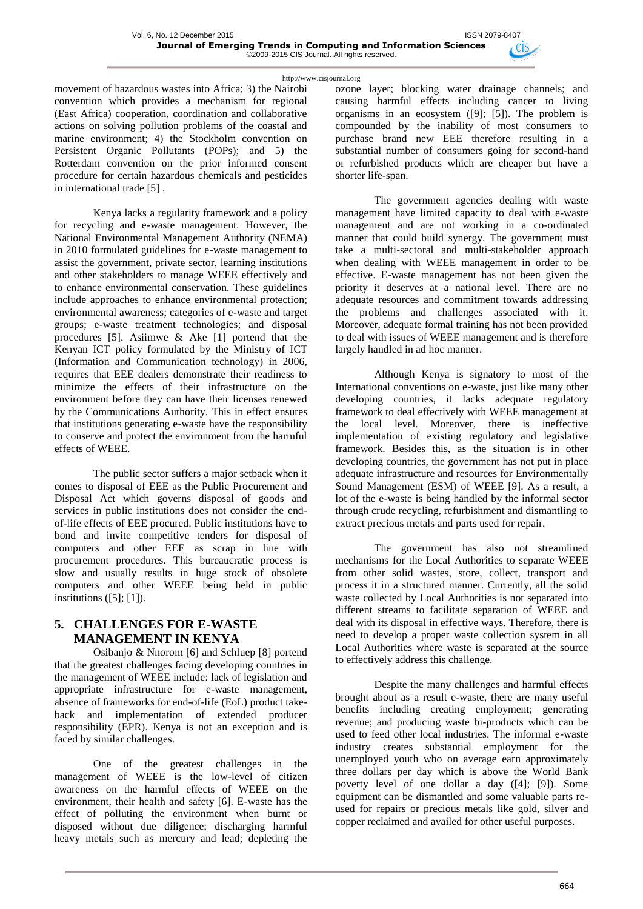movement of hazardous wastes into Africa; 3) the Nairobi convention which provides a mechanism for regional (East Africa) cooperation, coordination and collaborative actions on solving pollution problems of the coastal and marine environment: 4) the Stockholm convention on Persistent Organic Pollutants (POPs); and 5) the Rotterdam convention on the prior informed consent procedure for certain hazardous chemicals and pesticides in international trade [5] .

Kenya lacks a regularity framework and a policy for recycling and e-waste management. However, the National Environmental Management Authority (NEMA) in 2010 formulated guidelines for e-waste management to assist the government, private sector, learning institutions and other stakeholders to manage WEEE effectively and to enhance environmental conservation. These guidelines include approaches to enhance environmental protection; environmental awareness; categories of e-waste and target groups; e-waste treatment technologies; and disposal procedures [5]. Asiimwe  $\&$  Ake [1] portend that the Kenyan ICT policy formulated by the Ministry of ICT (Information and Communication technology) in 2006, requires that EEE dealers demonstrate their readiness to minimize the effects of their infrastructure on the environment before they can have their licenses renewed by the Communications Authority. This in effect ensures that institutions generating e-waste have the responsibility to conserve and protect the environment from the harmful effects of WEEE.

The public sector suffers a major setback when it comes to disposal of EEE as the Public Procurement and Disposal Act which governs disposal of goods and services in public institutions does not consider the endof-life effects of EEE procured. Public institutions have to bond and invite competitive tenders for disposal of computers and other EEE as scrap in line with procurement procedures. This bureaucratic process is slow and usually results in huge stock of obsolete computers and other WEEE being held in public institutions ([5]; [1]).

## **5. CHALLENGES FOR E-WASTE MANAGEMENT IN KENYA**

Osibanjo & Nnorom [6] and Schluep [8] portend that the greatest challenges facing developing countries in the management of WEEE include: lack of legislation and appropriate infrastructure for e-waste management, absence of frameworks for end-of-life (EoL) product takeback and implementation of extended producer responsibility (EPR). Kenya is not an exception and is faced by similar challenges.

One of the greatest challenges in the management of WEEE is the low-level of citizen awareness on the harmful effects of WEEE on the environment, their health and safety [6]. E-waste has the effect of polluting the environment when burnt or disposed without due diligence; discharging harmful heavy metals such as mercury and lead; depleting the

ozone layer; blocking water drainage channels; and causing harmful effects including cancer to living organisms in an ecosystem ([9]; [5]). The problem is compounded by the inability of most consumers to purchase brand new EEE therefore resulting in a substantial number of consumers going for second-hand or refurbished products which are cheaper but have a shorter life-span.

The government agencies dealing with waste management have limited capacity to deal with e-waste management and are not working in a co-ordinated manner that could build synergy. The government must take a multi-sectoral and multi-stakeholder approach when dealing with WEEE management in order to be effective. E-waste management has not been given the priority it deserves at a national level. There are no adequate resources and commitment towards addressing the problems and challenges associated with it. Moreover, adequate formal training has not been provided to deal with issues of WEEE management and is therefore largely handled in ad hoc manner.

Although Kenya is signatory to most of the International conventions on e-waste, just like many other developing countries, it lacks adequate regulatory framework to deal effectively with WEEE management at the local level. Moreover, there is ineffective implementation of existing regulatory and legislative framework. Besides this, as the situation is in other developing countries, the government has not put in place adequate infrastructure and resources for Environmentally Sound Management (ESM) of WEEE [9]. As a result, a lot of the e-waste is being handled by the informal sector through crude recycling, refurbishment and dismantling to extract precious metals and parts used for repair.

The government has also not streamlined mechanisms for the Local Authorities to separate WEEE from other solid wastes, store, collect, transport and process it in a structured manner. Currently, all the solid waste collected by Local Authorities is not separated into different streams to facilitate separation of WEEE and deal with its disposal in effective ways. Therefore, there is need to develop a proper waste collection system in all Local Authorities where waste is separated at the source to effectively address this challenge.

Despite the many challenges and harmful effects brought about as a result e-waste, there are many useful benefits including creating employment; generating revenue; and producing waste bi-products which can be used to feed other local industries. The informal e-waste industry creates substantial employment for the unemployed youth who on average earn approximately three dollars per day which is above the World Bank poverty level of one dollar a day ([4]; [9]). Some equipment can be dismantled and some valuable parts reused for repairs or precious metals like gold, silver and copper reclaimed and availed for other useful purposes.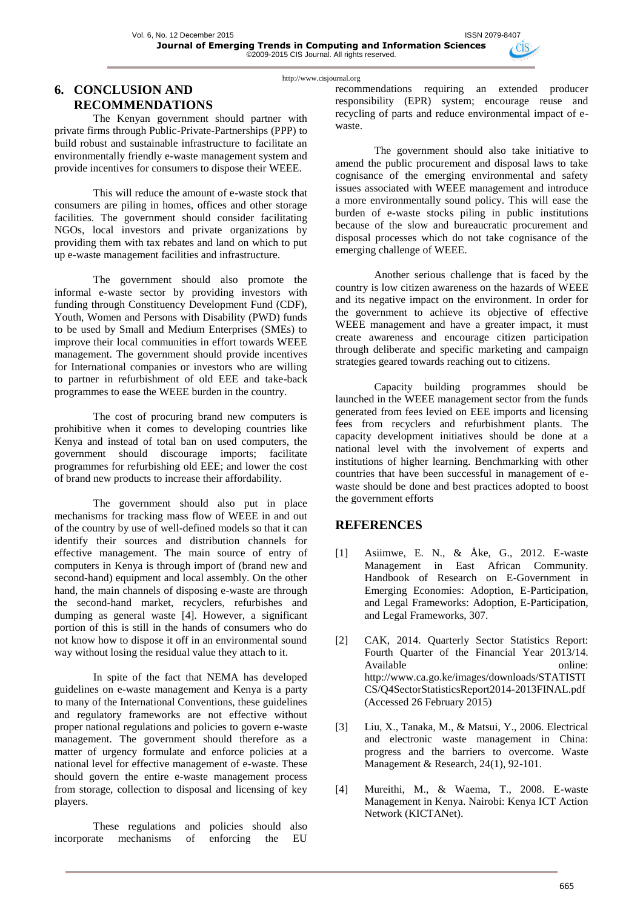## **6. CONCLUSION AND RECOMMENDATIONS**

The Kenyan government should partner with private firms through Public-Private-Partnerships (PPP) to build robust and sustainable infrastructure to facilitate an environmentally friendly e-waste management system and provide incentives for consumers to dispose their WEEE.

This will reduce the amount of e-waste stock that consumers are piling in homes, offices and other storage facilities. The government should consider facilitating NGOs, local investors and private organizations by providing them with tax rebates and land on which to put up e-waste management facilities and infrastructure.

The government should also promote the informal e-waste sector by providing investors with funding through Constituency Development Fund (CDF), Youth, Women and Persons with Disability (PWD) funds to be used by Small and Medium Enterprises (SMEs) to improve their local communities in effort towards WEEE management. The government should provide incentives for International companies or investors who are willing to partner in refurbishment of old EEE and take-back programmes to ease the WEEE burden in the country.

The cost of procuring brand new computers is prohibitive when it comes to developing countries like Kenya and instead of total ban on used computers, the government should discourage imports; facilitate programmes for refurbishing old EEE; and lower the cost of brand new products to increase their affordability.

The government should also put in place mechanisms for tracking mass flow of WEEE in and out of the country by use of well-defined models so that it can identify their sources and distribution channels for effective management. The main source of entry of computers in Kenya is through import of (brand new and second-hand) equipment and local assembly. On the other hand, the main channels of disposing e-waste are through the second-hand market, recyclers, refurbishes and dumping as general waste [4]. However, a significant portion of this is still in the hands of consumers who do not know how to dispose it off in an environmental sound way without losing the residual value they attach to it.

In spite of the fact that NEMA has developed guidelines on e-waste management and Kenya is a party to many of the International Conventions, these guidelines and regulatory frameworks are not effective without proper national regulations and policies to govern e-waste management. The government should therefore as a matter of urgency formulate and enforce policies at a national level for effective management of e-waste. These should govern the entire e-waste management process from storage, collection to disposal and licensing of key players.

These regulations and policies should also incorporate mechanisms of enforcing the EU

recommendations requiring an extended producer responsibility (EPR) system; encourage reuse and recycling of parts and reduce environmental impact of ewaste.

The government should also take initiative to amend the public procurement and disposal laws to take cognisance of the emerging environmental and safety issues associated with WEEE management and introduce a more environmentally sound policy. This will ease the burden of e-waste stocks piling in public institutions because of the slow and bureaucratic procurement and disposal processes which do not take cognisance of the emerging challenge of WEEE.

Another serious challenge that is faced by the country is low citizen awareness on the hazards of WEEE and its negative impact on the environment. In order for the government to achieve its objective of effective WEEE management and have a greater impact, it must create awareness and encourage citizen participation through deliberate and specific marketing and campaign strategies geared towards reaching out to citizens.

Capacity building programmes should be launched in the WEEE management sector from the funds generated from fees levied on EEE imports and licensing fees from recyclers and refurbishment plants. The capacity development initiatives should be done at a national level with the involvement of experts and institutions of higher learning. Benchmarking with other countries that have been successful in management of ewaste should be done and best practices adopted to boost the government efforts

### **REFERENCES**

- [1] Asiimwe, E. N., & Åke, G., 2012. E-waste Management in East African Community. Handbook of Research on E-Government in Emerging Economies: Adoption, E-Participation, and Legal Frameworks: Adoption, E-Participation, and Legal Frameworks, 307.
- [2] CAK, 2014. Quarterly Sector Statistics Report: Fourth Quarter of the Financial Year 2013/14. Available online: [http://www.ca.go.ke/images/downloads/STATISTI](http://www.ca.go.ke/images/downloads/STATISTICS/Q4SectorStatisticsReport2014-2013FINAL.pdf) [CS/Q4SectorStatisticsReport2014-2013FINAL.pdf](http://www.ca.go.ke/images/downloads/STATISTICS/Q4SectorStatisticsReport2014-2013FINAL.pdf)  (Accessed 26 February 2015)
- [3] Liu, X., Tanaka, M., & Matsui, Y., 2006. Electrical and electronic waste management in China: progress and the barriers to overcome. Waste Management & Research, 24(1), 92-101.
- [4] Mureithi, M., & Waema, T., 2008. E-waste Management in Kenya. Nairobi: Kenya ICT Action Network (KICTANet).